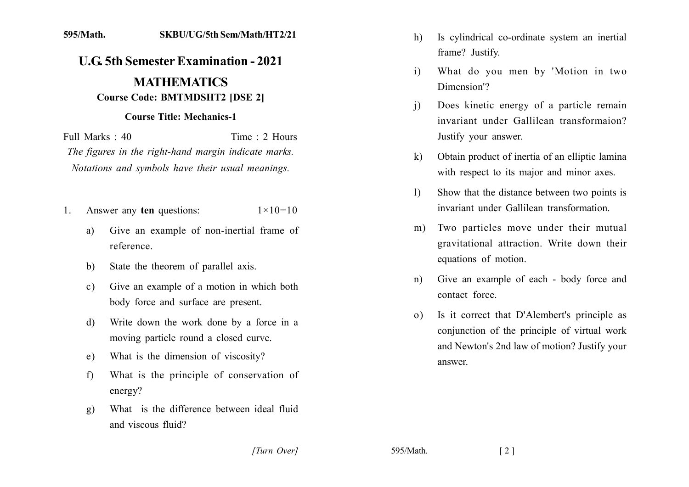## 595/Math. **SKBU/UG/5th Sem/Math/HT2/21**

## **U.G. 5th Semester Examination - 2021 MATHEMATICS Course Code: BMTMDSHT2 IDSE 21**

## **Course Title: Mechanics-1**

Full Marks  $\cdot$  40 Time  $\cdot$  2 Hours The figures in the right-hand margin indicate marks. Notations and symbols have their usual meanings.

- Answer any ten questions:  $1 \times 10 = 10$  $\mathbf{1}$ 
	- Give an example of non-inertial frame of a) reference.
	- State the theorem of parallel axis. b)
	- Give an example of a motion in which both  $c)$ body force and surface are present.
	- Write down the work done by a force in a d) moving particle round a closed curve.
	- What is the dimension of viscosity? e)
	- What is the principle of conservation of  $f$ energy?
	- What is the difference between ideal fluid  $g)$ and viscous fluid?
- Is cylindrical co-ordinate system an inertial h) frame? Justify.
- $\mathbf{i}$ What do you men by 'Motion in two Dimension<sup>'</sup>?
- Does kinetic energy of a particle remain  $\mathbf{i}$ invariant under Gallilean transformaion? Justify your answer.
- Obtain product of inertia of an elliptic lamina  $\bf k$ with respect to its major and minor axes.
- Show that the distance between two points is  $\mathbf{D}$ invariant under Gallilean transformation
- Two particles move under their mutual  $m$ ) gravitational attraction. Write down their equations of motion.
- Give an example of each body force and  $n)$ contact force
- Is it correct that D'Alembert's principle as  $\Omega$ ) conjunction of the principle of virtual work and Newton's 2nd law of motion? Justify your answer.

[Turn Over]

595/Math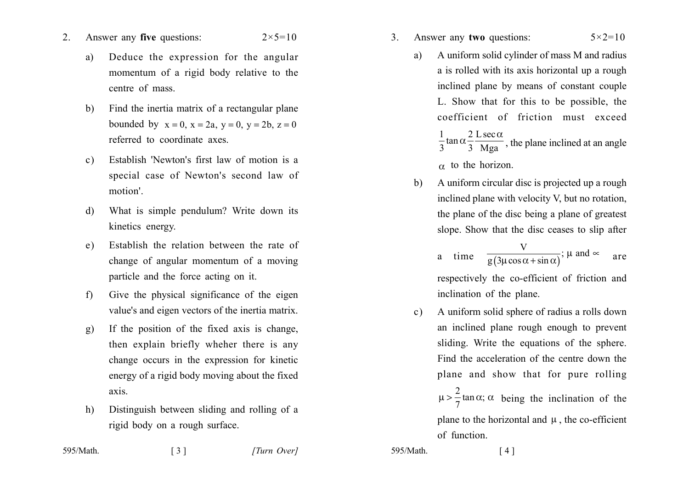- $2_{-}$ Answer any five questions:  $2 \times 5 = 10$ 
	- Deduce the expression for the angular a) momentum of a rigid body relative to the centre of mass
	- Find the inertia matrix of a rectangular plane  $b)$ bounded by  $x = 0$ ,  $x = 2a$ ,  $y = 0$ ,  $y = 2b$ ,  $z = 0$ referred to coordinate axes.
	- Establish 'Newton's first law of motion is a  $c$ ) special case of Newton's second law of motion'
	- What is simple pendulum? Write down its  $\mathbf{d}$ kinetics energy.
	- Establish the relation between the rate of  $e)$ change of angular momentum of a moving particle and the force acting on it.
	- $f$ Give the physical significance of the eigen value's and eigen vectors of the inertia matrix.
	- If the position of the fixed axis is change,  $g)$ then explain briefly wheher there is any change occurs in the expression for kinetic energy of a rigid body moving about the fixed axis.
	- Distinguish between sliding and rolling of a  $h)$ rigid body on a rough surface.

 $\begin{bmatrix} 3 \end{bmatrix}$ 

- $3<sub>1</sub>$ Answer any two questions:  $5 \times 2 = 10$ 
	- A uniform solid cylinder of mass M and radius a) a is rolled with its axis horizontal up a rough inclined plane by means of constant couple L. Show that for this to be possible, the coefficient of friction must exceed  $\frac{1}{3}$ tan  $\alpha \frac{2}{3} \frac{L \sec \alpha}{\log a}$ , the plane inclined at an angle  $\alpha$  to the horizon.
	- A uniform circular disc is projected up a rough b) inclined plane with velocity V, but no rotation, the plane of the disc being a plane of greatest slope. Show that the disc ceases to slip after

a time 
$$
\frac{V}{g(3\mu\cos\alpha + \sin\alpha)}
$$
;  $\mu$  and  $\infty$  are

respectively the co-efficient of friction and inclination of the plane.

A uniform solid sphere of radius a rolls down  $c)$ an inclined plane rough enough to prevent sliding. Write the equations of the sphere. Find the acceleration of the centre down the plane and show that for pure rolling  $\mu > \frac{2}{7} \tan \alpha$ ;  $\alpha$  being the inclination of the

> plane to the horizontal and  $\mu$ , the co-efficient of function.

 $595/Math$ 

 $[4]$